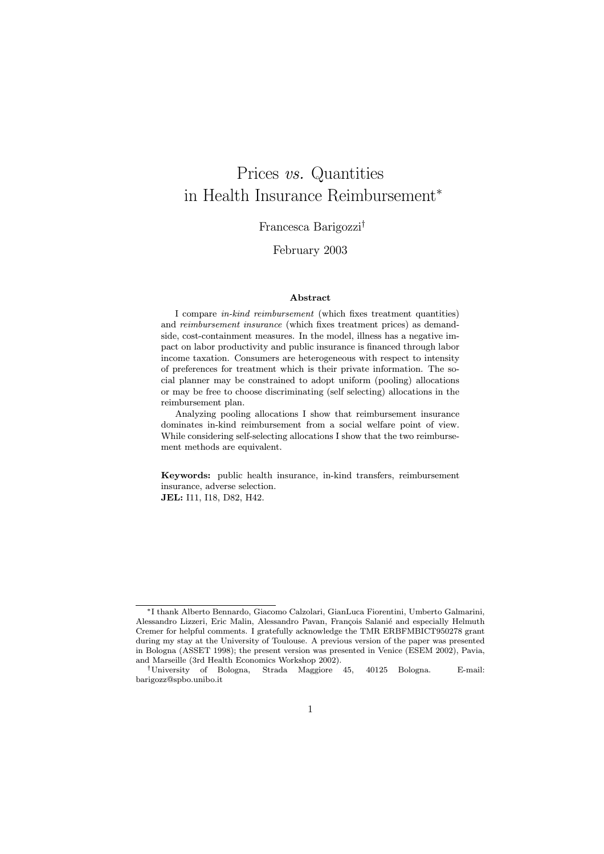# Prices vs. Quantities in Health Insurance Reimbursement<sup>∗</sup>

#### Francesca Barigozzi†

#### February 2003

#### Abstract

I compare in-kind reimbursement (which fixes treatment quantities) and reimbursement insurance (which fixes treatment prices) as demandside, cost-containment measures. In the model, illness has a negative impact on labor productivity and public insurance is financed through labor income taxation. Consumers are heterogeneous with respect to intensity of preferences for treatment which is their private information. The social planner may be constrained to adopt uniform (pooling) allocations or may be free to choose discriminating (self selecting) allocations in the reimbursement plan.

Analyzing pooling allocations I show that reimbursement insurance dominates in-kind reimbursement from a social welfare point of view. While considering self-selecting allocations I show that the two reimbursement methods are equivalent.

Keywords: public health insurance, in-kind transfers, reimbursement insurance, adverse selection. JEL: I11, I18, D82, H42.

<sup>∗</sup>I thank Alberto Bennardo, Giacomo Calzolari, GianLuca Fiorentini, Umberto Galmarini, Alessandro Lizzeri, Eric Malin, Alessandro Pavan, François Salanié and especially Helmuth Cremer for helpful comments. I gratefully acknowledge the TMR ERBFMBICT950278 grant during my stay at the University of Toulouse. A previous version of the paper was presented in Bologna (ASSET 1998); the present version was presented in Venice (ESEM 2002), Pavia, and Marseille (3rd Health Economics Workshop 2002).

<sup>†</sup>University of Bologna, Strada Maggiore 45, 40125 Bologna. E-mail: barigozz@spbo.unibo.it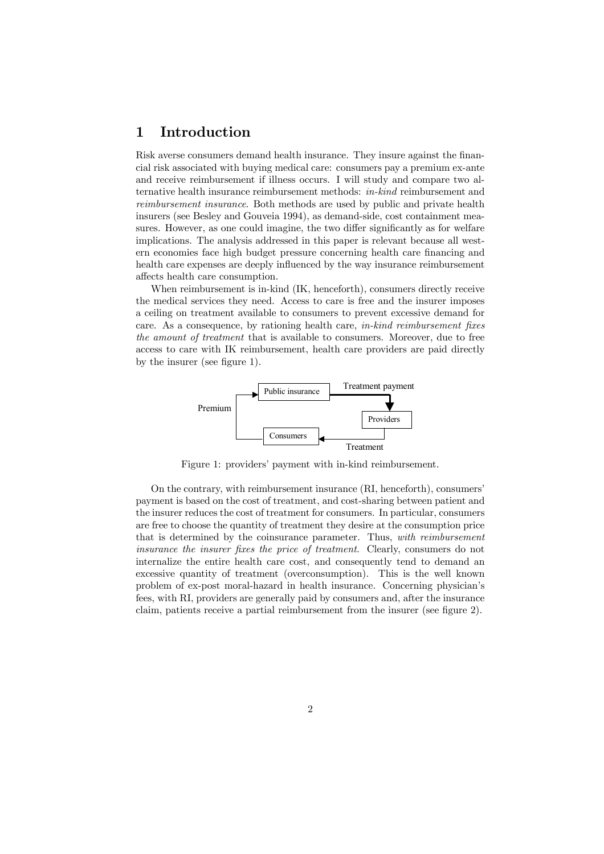## 1 Introduction

Risk averse consumers demand health insurance. They insure against the financial risk associated with buying medical care: consumers pay a premium ex-ante and receive reimbursement if illness occurs. I will study and compare two alternative health insurance reimbursement methods: in-kind reimbursement and reimbursement insurance. Both methods are used by public and private health insurers (see Besley and Gouveia 1994), as demand-side, cost containment measures. However, as one could imagine, the two differ significantly as for welfare implications. The analysis addressed in this paper is relevant because all western economies face high budget pressure concerning health care financing and health care expenses are deeply influenced by the way insurance reimbursement affects health care consumption.

When reimbursement is in-kind (IK, henceforth), consumers directly receive the medical services they need. Access to care is free and the insurer imposes a ceiling on treatment available to consumers to prevent excessive demand for care. As a consequence, by rationing health care, in-kind reimbursement fixes the amount of treatment that is available to consumers. Moreover, due to free access to care with IK reimbursement, health care providers are paid directly by the insurer (see figure 1).



Figure 1: providers' payment with in-kind reimbursement.

On the contrary, with reimbursement insurance (RI, henceforth), consumers' payment is based on the cost of treatment, and cost-sharing between patient and the insurer reduces the cost of treatment for consumers. In particular, consumers are free to choose the quantity of treatment they desire at the consumption price that is determined by the coinsurance parameter. Thus, with reimbursement insurance the insurer fixes the price of treatment. Clearly, consumers do not internalize the entire health care cost, and consequently tend to demand an excessive quantity of treatment (overconsumption). This is the well known problem of ex-post moral-hazard in health insurance. Concerning physician's fees, with RI, providers are generally paid by consumers and, after the insurance claim, patients receive a partial reimbursement from the insurer (see figure 2).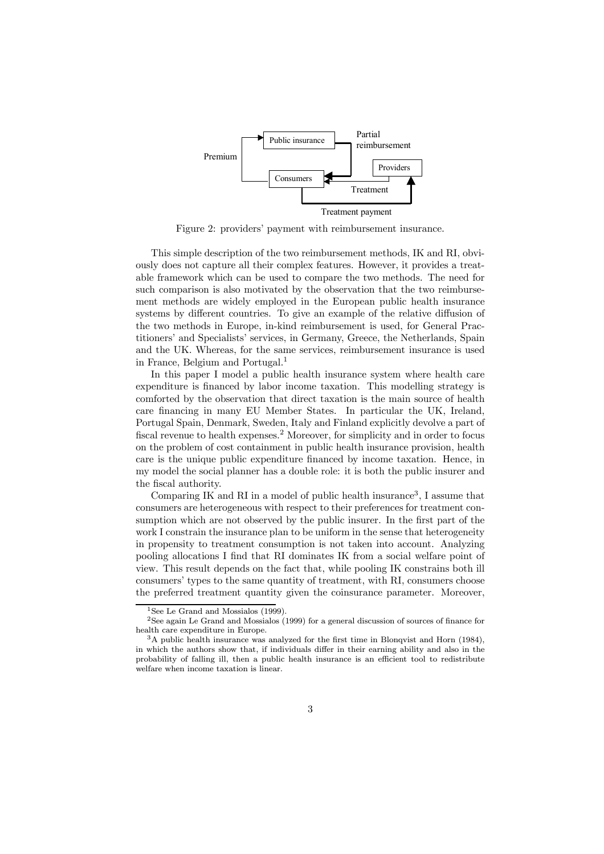

Figure 2: providers' payment with reimbursement insurance.

This simple description of the two reimbursement methods, IK and RI, obviously does not capture all their complex features. However, it provides a treatable framework which can be used to compare the two methods. The need for such comparison is also motivated by the observation that the two reimbursement methods are widely employed in the European public health insurance systems by different countries. To give an example of the relative diffusion of the two methods in Europe, in-kind reimbursement is used, for General Practitioners' and Specialists' services, in Germany, Greece, the Netherlands, Spain and the UK. Whereas, for the same services, reimbursement insurance is used in France, Belgium and Portugal.<sup>1</sup>

In this paper I model a public health insurance system where health care expenditure is financed by labor income taxation. This modelling strategy is comforted by the observation that direct taxation is the main source of health care financing in many EU Member States. In particular the UK, Ireland, Portugal Spain, Denmark, Sweden, Italy and Finland explicitly devolve a part of fiscal revenue to health expenses.<sup>2</sup> Moreover, for simplicity and in order to focus on the problem of cost containment in public health insurance provision, health care is the unique public expenditure financed by income taxation. Hence, in my model the social planner has a double role: it is both the public insurer and the fiscal authority.

Comparing IK and RI in a model of public health insurance<sup>3</sup>, I assume that consumers are heterogeneous with respect to their preferences for treatment consumption which are not observed by the public insurer. In the first part of the work I constrain the insurance plan to be uniform in the sense that heterogeneity in propensity to treatment consumption is not taken into account. Analyzing pooling allocations I find that RI dominates IK from a social welfare point of view. This result depends on the fact that, while pooling IK constrains both ill consumers' types to the same quantity of treatment, with RI, consumers choose the preferred treatment quantity given the coinsurance parameter. Moreover,

<sup>&</sup>lt;sup>1</sup>See Le Grand and Mossialos (1999).

<sup>2</sup>See again Le Grand and Mossialos (1999) for a general discussion of sources of finance for health care expenditure in Europe.

<sup>3</sup>A public health insurance was analyzed for the first time in Blonqvist and Horn (1984), in which the authors show that, if individuals differ in their earning ability and also in the probability of falling ill, then a public health insurance is an efficient tool to redistribute welfare when income taxation is linear.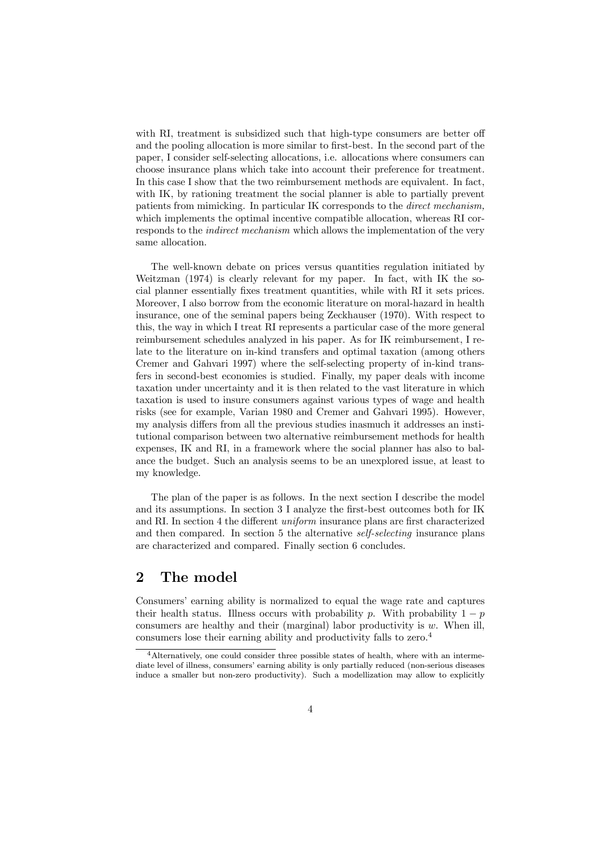with RI, treatment is subsidized such that high-type consumers are better off and the pooling allocation is more similar to first-best. In the second part of the paper, I consider self-selecting allocations, i.e. allocations where consumers can choose insurance plans which take into account their preference for treatment. In this case I show that the two reimbursement methods are equivalent. In fact, with IK, by rationing treatment the social planner is able to partially prevent patients from mimicking. In particular IK corresponds to the direct mechanism, which implements the optimal incentive compatible allocation, whereas RI corresponds to the indirect mechanism which allows the implementation of the very same allocation.

The well-known debate on prices versus quantities regulation initiated by Weitzman (1974) is clearly relevant for my paper. In fact, with IK the social planner essentially fixes treatment quantities, while with RI it sets prices. Moreover, I also borrow from the economic literature on moral-hazard in health insurance, one of the seminal papers being Zeckhauser (1970). With respect to this, the way in which I treat RI represents a particular case of the more general reimbursement schedules analyzed in his paper. As for IK reimbursement, I relate to the literature on in-kind transfers and optimal taxation (among others Cremer and Gahvari 1997) where the self-selecting property of in-kind transfers in second-best economies is studied. Finally, my paper deals with income taxation under uncertainty and it is then related to the vast literature in which taxation is used to insure consumers against various types of wage and health risks (see for example, Varian 1980 and Cremer and Gahvari 1995). However, my analysis differs from all the previous studies inasmuch it addresses an institutional comparison between two alternative reimbursement methods for health expenses, IK and RI, in a framework where the social planner has also to balance the budget. Such an analysis seems to be an unexplored issue, at least to my knowledge.

The plan of the paper is as follows. In the next section I describe the model and its assumptions. In section 3 I analyze the first-best outcomes both for IK and RI. In section 4 the different uniform insurance plans are first characterized and then compared. In section 5 the alternative self-selecting insurance plans are characterized and compared. Finally section 6 concludes.

## 2 The model

Consumers' earning ability is normalized to equal the wage rate and captures their health status. Illness occurs with probability p. With probability  $1 - p$ consumers are healthy and their (marginal) labor productivity is  $w$ . When ill, consumers lose their earning ability and productivity falls to zero.<sup>4</sup>

 $4$ Alternatively, one could consider three possible states of health, where with an intermediate level of illness, consumers' earning ability is only partially reduced (non-serious diseases induce a smaller but non-zero productivity). Such a modellization may allow to explicitly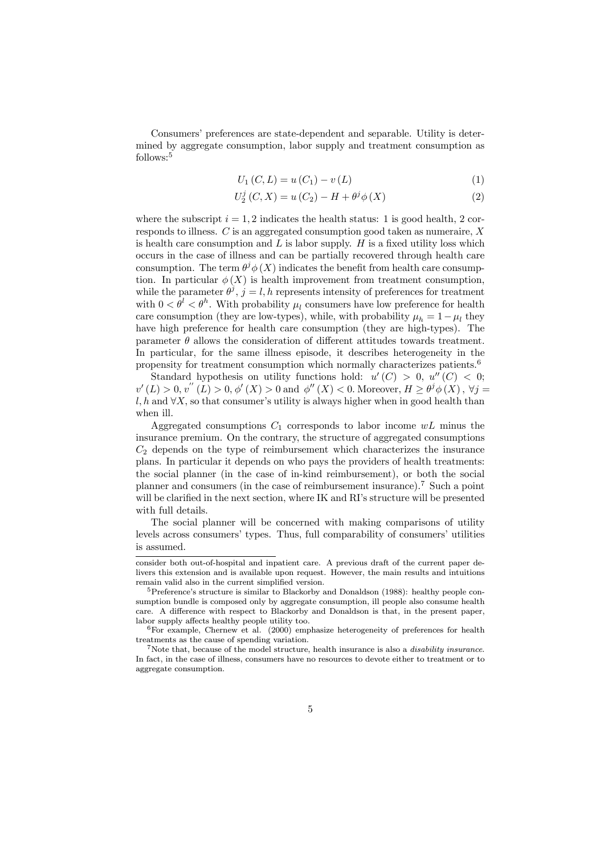Consumers' preferences are state-dependent and separable. Utility is determined by aggregate consumption, labor supply and treatment consumption as follows:<sup>5</sup>

$$
U_1(C, L) = u(C_1) - v(L)
$$
 (1)

$$
U_2^j(C, X) = u(C_2) - H + \theta^j \phi(X)
$$
 (2)

where the subscript  $i = 1, 2$  indicates the health status: 1 is good health, 2 corresponds to illness. C is an aggregated consumption good taken as numeraire, X is health care consumption and  $L$  is labor supply.  $H$  is a fixed utility loss which occurs in the case of illness and can be partially recovered through health care consumption. The term  $\theta^j \phi(X)$  indicates the benefit from health care consumption. In particular  $\phi(X)$  is health improvement from treatment consumption, while the parameter  $\theta^j$ ,  $j = l, h$  represents intensity of preferences for treatment with  $0 < \theta^l < \theta^h$ . With probability  $\mu_l$  consumers have low preference for health care consumption (they are low-types), while, with probability  $\mu_h = 1 - \mu_l$  they have high preference for health care consumption (they are high-types). The parameter  $\theta$  allows the consideration of different attitudes towards treatment. In particular, for the same illness episode, it describes heterogeneity in the propensity for treatment consumption which normally characterizes patients.<sup>6</sup>

Standard hypothesis on utility functions hold:  $u'(C) > 0$ ,  $u''(C) < 0$ ;  $v'(L) > 0, v''(L) > 0, \phi'(X) > 0$  and  $\phi''(X) < 0$ . Moreover,  $H \ge \theta^j \phi(X)$ ,  $\forall j =$ l, h and  $\forall X$ , so that consumer's utility is always higher when in good health than when ill.

Aggregated consumptions  $C_1$  corresponds to labor income  $wL$  minus the insurance premium. On the contrary, the structure of aggregated consumptions  $C_2$  depends on the type of reimbursement which characterizes the insurance plans. In particular it depends on who pays the providers of health treatments: the social planner (in the case of in-kind reimbursement), or both the social planner and consumers (in the case of reimbursement insurance).<sup>7</sup> Such a point will be clarified in the next section, where IK and RI's structure will be presented with full details.

The social planner will be concerned with making comparisons of utility levels across consumers' types. Thus, full comparability of consumers' utilities is assumed.

consider both out-of-hospital and inpatient care. A previous draft of the current paper delivers this extension and is available upon request. However, the main results and intuitions remain valid also in the current simplified version.

 $5$ Preference's structure is similar to Blackorby and Donaldson (1988): healthy people consumption bundle is composed only by aggregate consumption, ill people also consume health care. A difference with respect to Blackorby and Donaldson is that, in the present paper, labor supply affects healthy people utility too.

 $6$ For example, Chernew et al. (2000) emphasize heterogeneity of preferences for health treatments as the cause of spending variation.

<sup>&</sup>lt;sup>7</sup>Note that, because of the model structure, health insurance is also a *disability insurance*. In fact, in the case of illness, consumers have no resources to devote either to treatment or to aggregate consumption.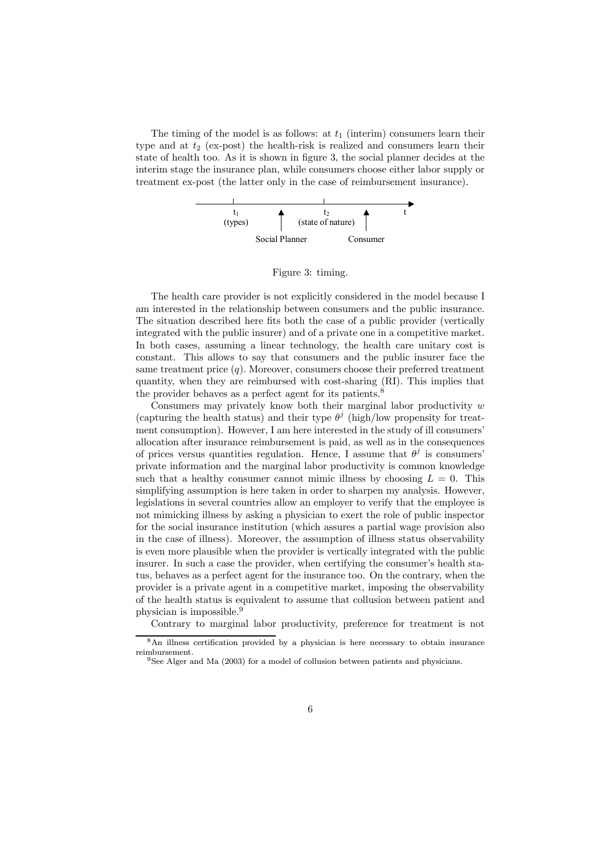The timing of the model is as follows: at  $t_1$  (interim) consumers learn their type and at  $t_2$  (ex-post) the health-risk is realized and consumers learn their state of health too. As it is shown in figure 3, the social planner decides at the interim stage the insurance plan, while consumers choose either labor supply or treatment ex-post (the latter only in the case of reimbursement insurance).



Figure 3: timing.

The health care provider is not explicitly considered in the model because I am interested in the relationship between consumers and the public insurance. The situation described here fits both the case of a public provider (vertically integrated with the public insurer) and of a private one in a competitive market. In both cases, assuming a linear technology, the health care unitary cost is constant. This allows to say that consumers and the public insurer face the same treatment price  $(q)$ . Moreover, consumers choose their preferred treatment quantity, when they are reimbursed with cost-sharing (RI). This implies that the provider behaves as a perfect agent for its patients.<sup>8</sup>

Consumers may privately know both their marginal labor productivity  $w$ (capturing the health status) and their type  $\theta^j$  (high/low propensity for treatment consumption). However, I am here interested in the study of ill consumers' allocation after insurance reimbursement is paid, as well as in the consequences of prices versus quantities regulation. Hence, I assume that  $\theta^j$  is consumers' private information and the marginal labor productivity is common knowledge such that a healthy consumer cannot mimic illness by choosing  $L = 0$ . This simplifying assumption is here taken in order to sharpen my analysis. However, legislations in several countries allow an employer to verify that the employee is not mimicking illness by asking a physician to exert the role of public inspector for the social insurance institution (which assures a partial wage provision also in the case of illness). Moreover, the assumption of illness status observability is even more plausible when the provider is vertically integrated with the public insurer. In such a case the provider, when certifying the consumer's health status, behaves as a perfect agent for the insurance too. On the contrary, when the provider is a private agent in a competitive market, imposing the observability of the health status is equivalent to assume that collusion between patient and physician is impossible.<sup>9</sup>

Contrary to marginal labor productivity, preference for treatment is not

 $8\text{An illness certification provided by a physician is here necessary to obtain insurance.}$ reimbursement.

<sup>9</sup>See Alger and Ma (2003) for a model of collusion between patients and physicians.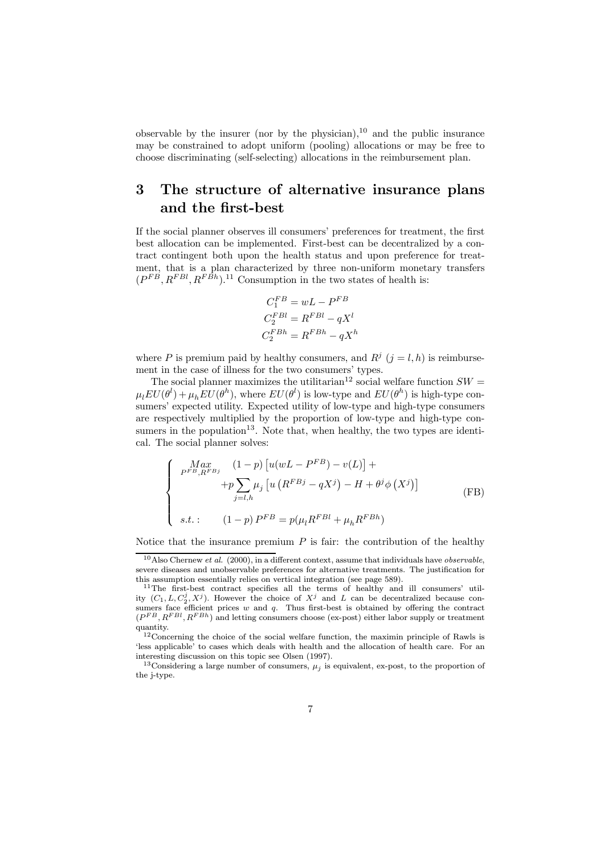observable by the insurer (nor by the physician),<sup>10</sup> and the public insurance may be constrained to adopt uniform (pooling) allocations or may be free to choose discriminating (self-selecting) allocations in the reimbursement plan.

## 3 The structure of alternative insurance plans and the first-best

If the social planner observes ill consumers' preferences for treatment, the first best allocation can be implemented. First-best can be decentralized by a contract contingent both upon the health status and upon preference for treatment, that is a plan characterized by three non-uniform monetary transfers  $(P^{FB}, R^{FBl}, R^{FBh})$ .<sup>11</sup> Consumption in the two states of health is:

$$
C_1^{FB} = wL - P^{FB}
$$

$$
C_2^{FBl} = R^{FBl} - qX^l
$$

$$
C_2^{FBh} = R^{FBh} - qX^h
$$

where P is premium paid by healthy consumers, and  $R<sup>j</sup>$  ( $j = l, h$ ) is reimbursement in the case of illness for the two consumers' types.

The social planner maximizes the utilitarian<sup>12</sup> social welfare function  $SW =$  $\mu_l EU(\theta^l) + \mu_h EU(\theta^h)$ , where  $EU(\theta^l)$  is low-type and  $EU(\theta^h)$  is high-type consumers' expected utility. Expected utility of low-type and high-type consumers are respectively multiplied by the proportion of low-type and high-type consumers in the population<sup>13</sup>. Note that, when healthy, the two types are identical. The social planner solves:

$$
\begin{cases}\n\begin{aligned}\nMax & (1-p) \left[ u(wL - P^{FB}) - v(L) \right] + \\
& \quad + p \sum_{j=l,h} \mu_j \left[ u \left( R^{FBj} - qX^j \right) - H + \theta^j \phi \left( X^j \right) \right] \\
s.t. & (1-p) P^{FB} = p(\mu_l R^{FBl} + \mu_h R^{FBh})\n\end{aligned}\n\end{cases} \tag{FB}
$$

Notice that the insurance premium  $P$  is fair: the contribution of the healthy

 $10$ Also Chernew *et al.* (2000), in a different context, assume that individuals have *observable*, severe diseases and unobservable preferences for alternative treatments. The justification for this assumption essentially relies on vertical integration (see page 589).

<sup>11</sup>The first-best contract specifies all the terms of healthy and ill consumers' utility  $(C_1, L, C_2^j, X^j)$ . However the choice of  $X^j$  and L can be decentralized because consumers face efficient prices  $w$  and  $q$ . Thus first-best is obtained by offering the contract  $(P^{FB}, R^{FBl}, R^{FBh})$  and letting consumers choose (ex-post) either labor supply or treatment quantity.

<sup>&</sup>lt;sup>12</sup>Concerning the choice of the social welfare function, the maximin principle of Rawls is 'less applicable' to cases which deals with health and the allocation of health care. For an interesting discussion on this topic see Olsen (1997).

<sup>&</sup>lt;sup>13</sup>Considering a large number of consumers,  $\mu_j$  is equivalent, ex-post, to the proportion of the j-type.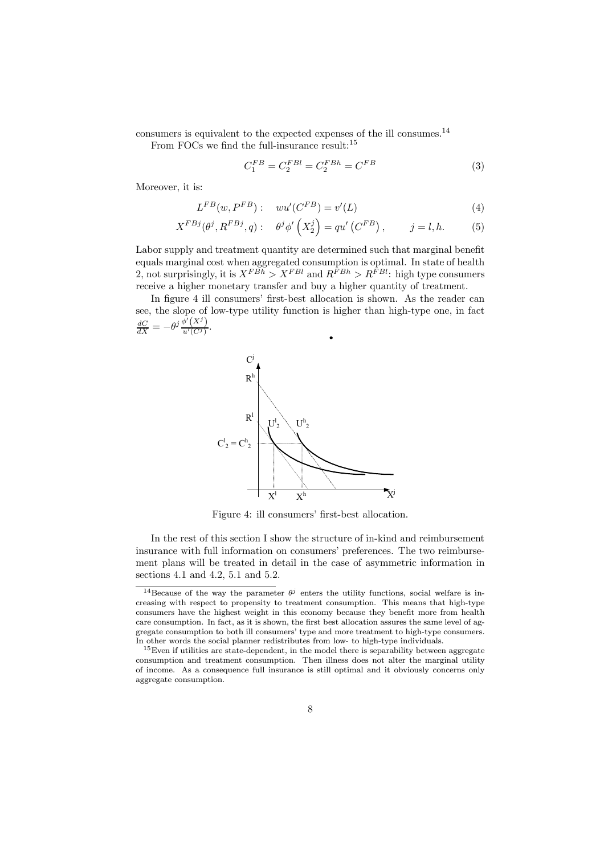consumers is equivalent to the expected expenses of the ill consumes.<sup>14</sup>

From FOCs we find the full-insurance result:<sup>15</sup>

$$
C_1^{FB} = C_2^{FBl} = C_2^{FBh} = C^{FB} \tag{3}
$$

Moreover, it is:

$$
L^{FB}(w, P^{FB}): \quad wu'(C^{FB}) = v'(L) \tag{4}
$$

$$
X^{FBj}(\theta^j, R^{FBj}, q): \quad \theta^j \phi'\left(X_2^j\right) = qu'\left(C^{FB}\right), \qquad j = l, h. \tag{5}
$$

Labor supply and treatment quantity are determined such that marginal benefit equals marginal cost when aggregated consumption is optimal. In state of health 2, not surprisingly, it is  $X^{FBA} > X^{FBl}$  and  $R^{FBl} > R^{FBl}$ : high type consumers receive a higher monetary transfer and buy a higher quantity of treatment.

In figure 4 ill consumers' first-best allocation is shown. As the reader can see, the slope of low-type utility function is higher than high-type one, in fact  $\frac{dC}{dX} = -\theta^j \frac{\phi'(X^j)}{u'(C^j)}.$ 



Figure 4: ill consumers' first-best allocation.

In the rest of this section I show the structure of in-kind and reimbursement insurance with full information on consumers' preferences. The two reimbursement plans will be treated in detail in the case of asymmetric information in sections 4.1 and 4.2, 5.1 and 5.2.

<sup>&</sup>lt;sup>14</sup>Because of the way the parameter  $\theta^j$  enters the utility functions, social welfare is increasing with respect to propensity to treatment consumption. This means that high-type consumers have the highest weight in this economy because they benefit more from health care consumption. In fact, as it is shown, the first best allocation assures the same level of aggregate consumption to both ill consumers' type and more treatment to high-type consumers. In other words the social planner redistributes from low- to high-type individuals.

 $15$  Even if utilities are state-dependent, in the model there is separability between aggregate consumption and treatment consumption. Then illness does not alter the marginal utility of income. As a consequence full insurance is still optimal and it obviously concerns only aggregate consumption.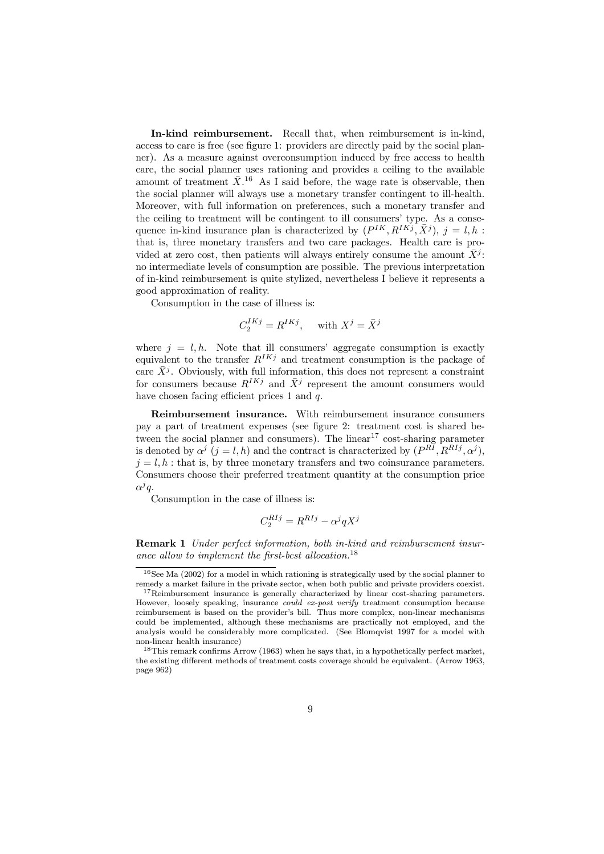In-kind reimbursement. Recall that, when reimbursement is in-kind, access to care is free (see figure 1: providers are directly paid by the social planner). As a measure against overconsumption induced by free access to health care, the social planner uses rationing and provides a ceiling to the available amount of treatment  $\bar{X}$ <sup>16</sup> As I said before, the wage rate is observable, then the social planner will always use a monetary transfer contingent to ill-health. Moreover, with full information on preferences, such a monetary transfer and the ceiling to treatment will be contingent to ill consumers' type. As a consequence in-kind insurance plan is characterized by  $(P^{IK}, R^{IKj}, \bar{X}^j)$ ,  $j = l, h$ : that is, three monetary transfers and two care packages. Health care is provided at zero cost, then patients will always entirely consume the amount  $\bar{X}^j$ : no intermediate levels of consumption are possible. The previous interpretation of in-kind reimbursement is quite stylized, nevertheless I believe it represents a good approximation of reality.

Consumption in the case of illness is:

$$
C_2^{IKj} = R^{IKj}, \quad \text{ with } X^j = \bar{X}^j
$$

where  $j = l, h$ . Note that ill consumers' aggregate consumption is exactly equivalent to the transfer  $R^{IKj}$  and treatment consumption is the package of care  $\bar{X}^j$ . Obviously, with full information, this does not represent a constraint for consumers because  $R^{IKj}$  and  $\bar{X}^j$  represent the amount consumers would have chosen facing efficient prices 1 and q.

Reimbursement insurance. With reimbursement insurance consumers pay a part of treatment expenses (see figure 2: treatment cost is shared between the social planner and consumers). The linear  $17 \text{ cost-sharing parameter}$ is denoted by  $\alpha^{j}$  ( $j = l, h$ ) and the contract is characterized by  $(P^{RI}, R^{RIj}, \alpha^{j})$ ,  $j = l, h$ : that is, by three monetary transfers and two coinsurance parameters. Consumers choose their preferred treatment quantity at the consumption price  $\alpha^j q$ .

Consumption in the case of illness is:

$$
C_2^{RIj} = R^{RIj} - \alpha^j q X^j
$$

Remark 1 Under perfect information, both in-kind and reimbursement insurance allow to implement the first-best allocation.<sup>18</sup>

 $16$ See Ma (2002) for a model in which rationing is strategically used by the social planner to remedy a market failure in the private sector, when both public and private providers coexist.

<sup>&</sup>lt;sup>17</sup>Reimbursement insurance is generally characterized by linear cost-sharing parameters. However, loosely speaking, insurance *could ex-post verify* treatment consumption because reimbursement is based on the provider's bill. Thus more complex, non-linear mechanisms could be implemented, although these mechanisms are practically not employed, and the analysis would be considerably more complicated. (See Blomqvist 1997 for a model with non-linear health insurance)

<sup>18</sup>This remark confirms Arrow (1963) when he says that, in a hypothetically perfect market, the existing different methods of treatment costs coverage should be equivalent. (Arrow 1963, page 962)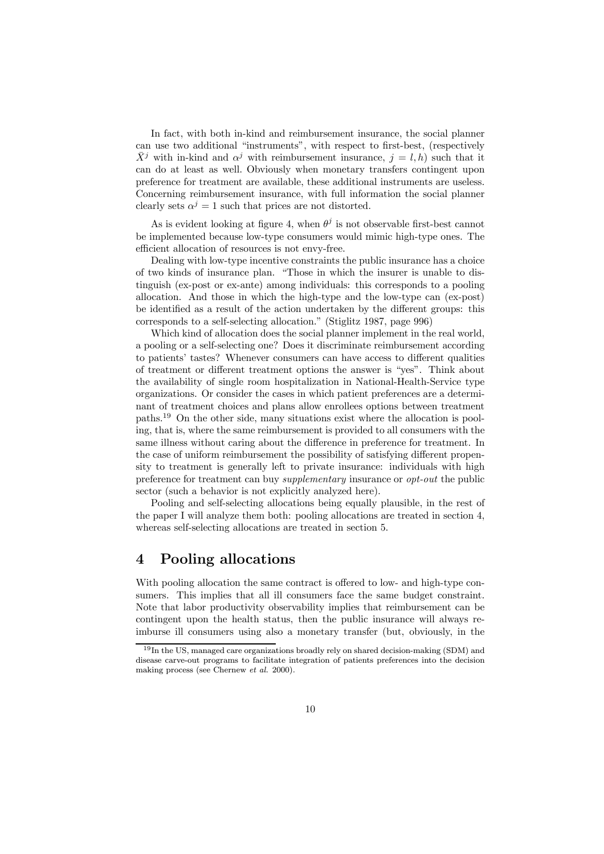In fact, with both in-kind and reimbursement insurance, the social planner can use two additional "instruments", with respect to first-best, (respectively  $\bar{X}^j$  with in-kind and  $\alpha^j$  with reimbursement insurance,  $j = l, h$ ) such that it can do at least as well. Obviously when monetary transfers contingent upon preference for treatment are available, these additional instruments are useless. Concerning reimbursement insurance, with full information the social planner clearly sets  $\alpha^{j} = 1$  such that prices are not distorted.

As is evident looking at figure 4, when  $\theta^j$  is not observable first-best cannot be implemented because low-type consumers would mimic high-type ones. The efficient allocation of resources is not envy-free.

Dealing with low-type incentive constraints the public insurance has a choice of two kinds of insurance plan. "Those in which the insurer is unable to distinguish (ex-post or ex-ante) among individuals: this corresponds to a pooling allocation. And those in which the high-type and the low-type can (ex-post) be identified as a result of the action undertaken by the different groups: this corresponds to a self-selecting allocation." (Stiglitz 1987, page 996)

Which kind of allocation does the social planner implement in the real world, a pooling or a self-selecting one? Does it discriminate reimbursement according to patients' tastes? Whenever consumers can have access to different qualities of treatment or different treatment options the answer is "yes". Think about the availability of single room hospitalization in National-Health-Service type organizations. Or consider the cases in which patient preferences are a determinant of treatment choices and plans allow enrollees options between treatment paths.<sup>19</sup> On the other side, many situations exist where the allocation is pooling, that is, where the same reimbursement is provided to all consumers with the same illness without caring about the difference in preference for treatment. In the case of uniform reimbursement the possibility of satisfying different propensity to treatment is generally left to private insurance: individuals with high preference for treatment can buy supplementary insurance or opt-out the public sector (such a behavior is not explicitly analyzed here).

Pooling and self-selecting allocations being equally plausible, in the rest of the paper I will analyze them both: pooling allocations are treated in section 4, whereas self-selecting allocations are treated in section 5.

### 4 Pooling allocations

With pooling allocation the same contract is offered to low- and high-type consumers. This implies that all ill consumers face the same budget constraint. Note that labor productivity observability implies that reimbursement can be contingent upon the health status, then the public insurance will always reimburse ill consumers using also a monetary transfer (but, obviously, in the

<sup>19</sup>In the US, managed care organizations broadly rely on shared decision-making (SDM) and disease carve-out programs to facilitate integration of patients preferences into the decision making process (see Chernew et al. 2000).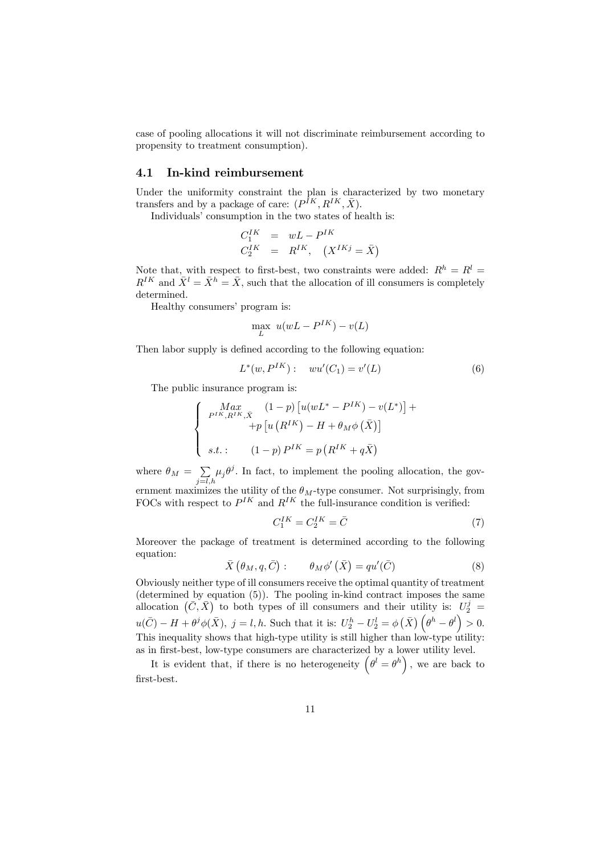case of pooling allocations it will not discriminate reimbursement according to propensity to treatment consumption).

#### 4.1 In-kind reimbursement

Under the uniformity constraint the plan is characterized by two monetary transfers and by a package of care:  $(P^{IK}, R^{IK}, \bar{X})$ .

Individuals' consumption in the two states of health is:

$$
C_1^{IK} = wL - P^{IK}
$$
  

$$
C_2^{IK} = R^{IK}, \quad (X^{IKj} = \overline{X})
$$

Note that, with respect to first-best, two constraints were added:  $R^h = R^l =$  $R^{IK}$  and  $\bar{X}^l = \bar{X}^h = \bar{X}$ , such that the allocation of ill consumers is completely determined.

Healthy consumers' program is:

$$
\max_{L} u(wL - P^{IK}) - v(L)
$$

Then labor supply is defined according to the following equation:

$$
L^*(w, P^{IK}): \t wu'(C_1) = v'(L) \t (6)
$$

The public insurance program is:

$$
\begin{cases}\n\max_{P^{IK}, R^{IK}, \bar{X}} (1-p) \left[ u(wL^* - P^{IK}) - v(L^*) \right] + \\
\quad + p \left[ u(R^{IK}) - H + \theta_M \phi(\bar{X}) \right] \\
s.t. : \quad (1-p) P^{IK} = p(R^{IK} + q\bar{X})\n\end{cases}
$$

where  $\theta_M = \sum_{j=l,h} \mu_j \theta^j$ . In fact, to implement the pooling allocation, the government maximizes the utility of the  $\theta_M$ -type consumer. Not surprisingly, from FOCs with respect to  $P^{IK}$  and  $R^{IK}$  the full-insurance condition is verified:

$$
C_1^{IK} = C_2^{IK} = \bar{C}
$$
\n<sup>(7)</sup>

Moreover the package of treatment is determined according to the following equation:

$$
\bar{X}(\theta_M, q, \bar{C}) : \qquad \theta_M \phi'(\bar{X}) = qu'(\bar{C}) \tag{8}
$$

Obviously neither type of ill consumers receive the optimal quantity of treatment (determined by equation (5)). The pooling in-kind contract imposes the same allocation  $(\bar{C}, \bar{X})$  to both types of ill consumers and their utility is:  $U_2^j =$  $u(\bar{C}) - H + \theta^j \phi(\bar{X}), \ j = l, h.$  Such that it is:  $U_2^h - U_2^l = \phi(\bar{X}) \left(\theta^h - \theta^l\right) > 0.$ This inequality shows that high-type utility is still higher than low-type utility: as in first-best, low-type consumers are characterized by a lower utility level.

It is evident that, if there is no heterogeneity  $(\theta^l = \theta^h)$ , we are back to first-best.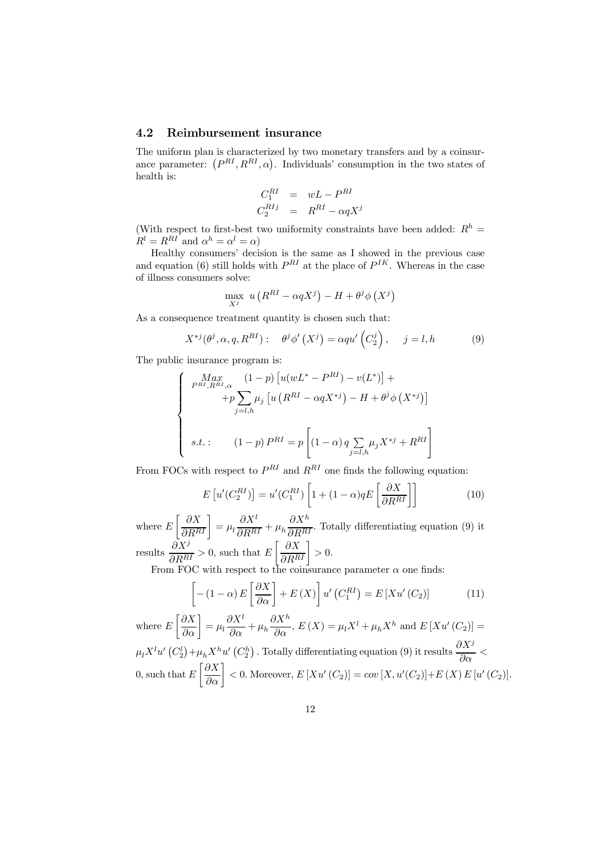#### 4.2 Reimbursement insurance

The uniform plan is characterized by two monetary transfers and by a coinsurance parameter:  $(P^{RI}, R^{RI}, \alpha)$ . Individuals' consumption in the two states of health is:

$$
C_1^{RI} = wL - P^{RI}
$$
  

$$
C_2^{RIj} = R^{RI} - \alpha q X^j
$$

(With respect to first-best two uniformity constraints have been added:  $R<sup>h</sup>$  =  $R^l = R^{RI}$  and  $\alpha^h = \alpha^l = \alpha$ )

Healthy consumers' decision is the same as I showed in the previous case and equation (6) still holds with  $P^{RI}$  at the place of  $P^{IK}$ . Whereas in the case of illness consumers solve:

$$
\max_{X^j} u(R^{RI} - \alpha q X^j) - H + \theta^j \phi(X^j)
$$

As a consequence treatment quantity is chosen such that:

$$
X^{*j}(\theta^j, \alpha, q, R^{RI}) : \quad \theta^j \phi'(X^j) = \alpha q u'\left(C_2^j\right), \quad j = l, h \tag{9}
$$

The public insurance program is:

$$
\begin{cases}\n\max_{P^{RI}, R^{RI}, \alpha} (1-p) \left[ u(wL^* - P^{RI}) - v(L^*) \right] + \\
\quad + p \sum_{j=l, h} \mu_j \left[ u \left( R^{RI} - \alpha q X^{*j} \right) - H + \theta^j \phi \left( X^{*j} \right) \right] \\
s.t. : \quad (1-p) P^{RI} = p \left[ (1-\alpha) q \sum_{j=l, h} \mu_j X^{*j} + R^{RI} \right]\n\end{cases}
$$

From FOCs with respect to  $P^{RI}$  and  $R^{RI}$  one finds the following equation:

$$
E\left[u'(C_2^{RI})\right] = u'(C_1^{RI})\left[1 + (1 - \alpha)qE\left[\frac{\partial X}{\partial R^{RI}}\right]\right]
$$
(10)

where  $E\left[\frac{\partial X}{\partial R^{RI}}\right] = \mu_l$  $\partial X^l$  $\frac{\partial R}{\partial R} + \mu_h$  $\partial X^h$  $\frac{\partial \Omega}{\partial R^{RI}}$ . Totally differentiating equation (9) it results  $\frac{\partial X^j}{\partial R^{RI}} > 0$ , such that E  $\left[\frac{\partial X}{\partial R^{RI}}\right] > 0.$ 

From FOC with respect to the coinsurance parameter  $\alpha$  one finds:

$$
\left[ -(1 - \alpha) E\left[\frac{\partial X}{\partial \alpha}\right] + E\left(X\right) \right] u'\left(C_1^{RI}\right) = E\left[Xu'\left(C_2\right)\right] \tag{11}
$$

where  $E$  $\left[\frac{\partial X}{\partial \alpha}\right] = \mu_l$  $\partial X^l$  $\frac{\partial \mathbf{u}}{\partial \alpha} + \mu_h$  $\frac{\partial X^h}{\partial \alpha}$ ,  $E(X) = \mu_l X^l + \mu_h X^h$  and  $E[Xu'(C_2)] =$  $\mu_l X^l u' (C_2^l) + \mu_h X^h u' (C_2^h)$ . Totally differentiating equation (9) it results  $\frac{\partial X^j}{\partial \alpha}$  <  $0,$  such that  $E$  $\left[\frac{\partial X}{\partial \alpha}\right] < 0.$  Moreover,  $E\left[Xu'(C_2)\right] = cov\left[X,u'(C_2)\right] + E\left(X\right)E\left[u'(C_2)\right].$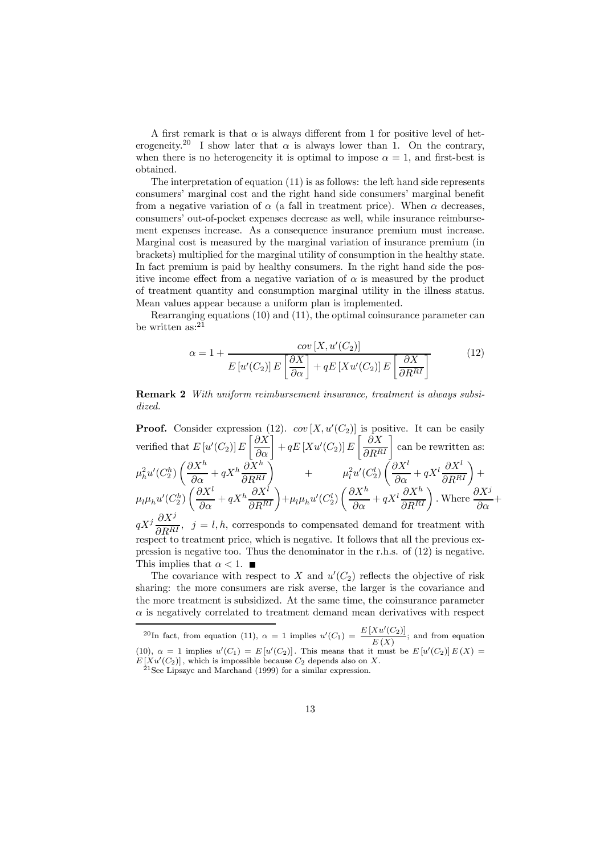A first remark is that  $\alpha$  is always different from 1 for positive level of heterogeneity.<sup>20</sup> I show later that  $\alpha$  is always lower than 1. On the contrary, when there is no heterogeneity it is optimal to impose  $\alpha = 1$ , and first-best is obtained.

The interpretation of equation (11) is as follows: the left hand side represents consumers' marginal cost and the right hand side consumers' marginal benefit from a negative variation of  $\alpha$  (a fall in treatment price). When  $\alpha$  decreases, consumers' out-of-pocket expenses decrease as well, while insurance reimbursement expenses increase. As a consequence insurance premium must increase. Marginal cost is measured by the marginal variation of insurance premium (in brackets) multiplied for the marginal utility of consumption in the healthy state. In fact premium is paid by healthy consumers. In the right hand side the positive income effect from a negative variation of  $\alpha$  is measured by the product of treatment quantity and consumption marginal utility in the illness status. Mean values appear because a uniform plan is implemented.

Rearranging equations (10) and (11), the optimal coinsurance parameter can be written as:<sup>21</sup>

$$
\alpha = 1 + \frac{cov[X, u'(C_2)]}{E[u'(C_2)] E\left[\frac{\partial X}{\partial \alpha}\right] + qE[Xu'(C_2)] E\left[\frac{\partial X}{\partial R^{RI}}\right]}
$$
(12)

Remark 2 With uniform reimbursement insurance, treatment is always subsidized.

**Proof.** Consider expression (12).  $cov[X, u'(C_2)]$  is positive. It can be easily verified that  $E[u'(C_2)]E$  $\left[\frac{\partial X}{\partial \alpha}\right] + qE\left[Xu'(C_2)\right]E\left[\frac{\partial X}{\partial R^{RI}}\right]$  can be rewritten as:  $\mu_h^2 u'(C_2^h)$  $\left(\frac{\partial X^h}{\partial \alpha} + qX^h \frac{\partial X^h}{\partial R^{RI}}\right)$  +  $\mu_l^2 u'(C_2^l)$  $\left(\frac{\partial X^l}{\partial \alpha}+ q X^l \frac{\partial X^l}{\partial R^{RI}}\right)+$  $\mu_l\mu_hu'(C_2^h)$  $\left(\frac{\partial X^l}{\partial \alpha} + qX^h \frac{\partial X^l}{\partial R^{RI}}\right) + \mu_l \mu_h u'(C_2^l)$  $\left(\frac{\partial X^h}{\partial \alpha}+ q X^l \frac{\partial X^h}{\partial R^{RI}}\right)$ . Where  $\frac{\partial X^j}{\partial \alpha}+$  $qX^{j}$   $\frac{\partial X^{j}}{\partial R^{RI}}$ ,  $j = l, h$ , corresponds to compensated demand for treatment with respect to treatment price, which is negative. It follows that all the previous ex-

pression is negative too. Thus the denominator in the r.h.s. of (12) is negative. This implies that  $\alpha < 1$ .

The covariance with respect to X and  $u'(C_2)$  reflects the objective of risk sharing: the more consumers are risk averse, the larger is the covariance and the more treatment is subsidized. At the same time, the coinsurance parameter  $\alpha$  is negatively correlated to treatment demand mean derivatives with respect

<sup>&</sup>lt;sup>20</sup>In fact, from equation (11),  $\alpha = 1$  implies  $u'(C_1) = \frac{E[Xu'(C_2)]}{E(X)}$ ; and from equation (10),  $\alpha = 1$  implies  $u'(C_1) = E[u'(C_2)]$ . This means that it must be  $E[u'(C_2)]E(X) =$  $E[Xu]$ 

 $21$  See Lipszyc and Marchand (1999) for a similar expression.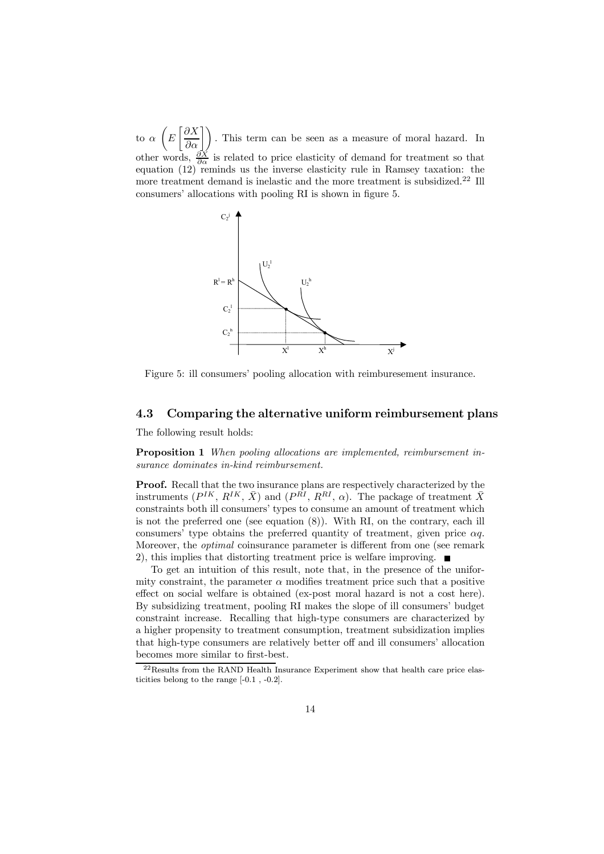to α µ E  $\left[\frac{\partial X}{\partial \alpha}\right]$ . This term can be seen as a measure of moral hazard. In other words,  $\frac{\partial X}{\partial \alpha}$  is related to price elasticity of demand for treatment so that equation  $(12)$  reminds us the inverse elasticity rule in Ramsey taxation: the more treatment demand is inelastic and the more treatment is subsidized.<sup>22</sup> Ill consumers' allocations with pooling RI is shown in figure 5.



Figure 5: ill consumers' pooling allocation with reimburesement insurance.

#### 4.3 Comparing the alternative uniform reimbursement plans

The following result holds:

Proposition 1 When pooling allocations are implemented, reimbursement insurance dominates in-kind reimbursement.

Proof. Recall that the two insurance plans are respectively characterized by the instruments  $(P^{IK}, R^{IK}, \bar{X})$  and  $(P^{\bar{R}I}, R^{RI}, \alpha)$ . The package of treatment  $\bar{X}$ constraints both ill consumers' types to consume an amount of treatment which is not the preferred one (see equation (8)). With RI, on the contrary, each ill consumers' type obtains the preferred quantity of treatment, given price  $\alpha q$ . Moreover, the optimal coinsurance parameter is different from one (see remark 2), this implies that distorting treatment price is welfare improving.  $\blacksquare$ 

To get an intuition of this result, note that, in the presence of the uniformity constraint, the parameter  $\alpha$  modifies treatment price such that a positive effect on social welfare is obtained (ex-post moral hazard is not a cost here). By subsidizing treatment, pooling RI makes the slope of ill consumers' budget constraint increase. Recalling that high-type consumers are characterized by a higher propensity to treatment consumption, treatment subsidization implies that high-type consumers are relatively better off and ill consumers' allocation becomes more similar to first-best.

<sup>&</sup>lt;sup>22</sup>Results from the RAND Health Insurance Experiment show that health care price elasticities belong to the range [-0.1 , -0.2].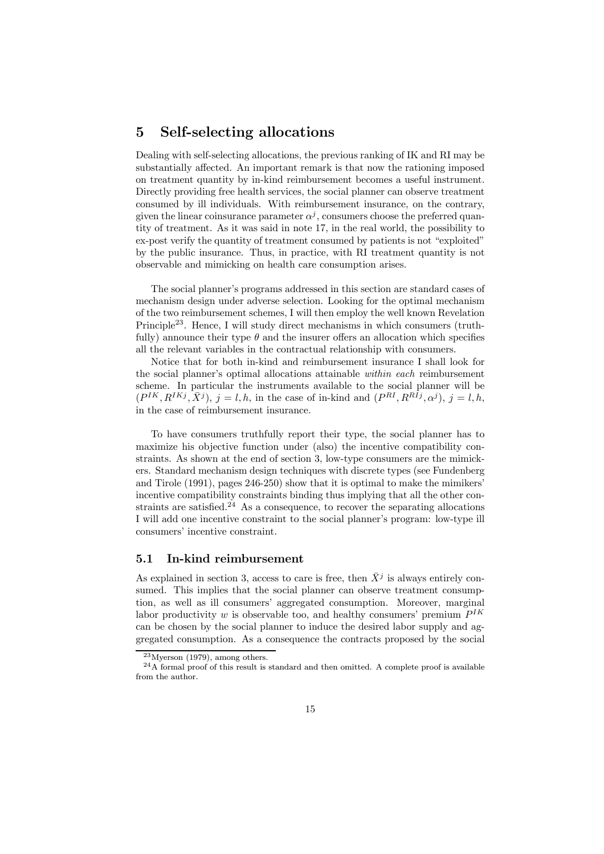## 5 Self-selecting allocations

Dealing with self-selecting allocations, the previous ranking of IK and RI may be substantially affected. An important remark is that now the rationing imposed on treatment quantity by in-kind reimbursement becomes a useful instrument. Directly providing free health services, the social planner can observe treatment consumed by ill individuals. With reimbursement insurance, on the contrary, given the linear coinsurance parameter  $\alpha^{j}$ , consumers choose the preferred quantity of treatment. As it was said in note 17, in the real world, the possibility to ex-post verify the quantity of treatment consumed by patients is not "exploited" by the public insurance. Thus, in practice, with RI treatment quantity is not observable and mimicking on health care consumption arises.

The social planner's programs addressed in this section are standard cases of mechanism design under adverse selection. Looking for the optimal mechanism of the two reimbursement schemes, I will then employ the well known Revelation Principle<sup>23</sup>. Hence, I will study direct mechanisms in which consumers (truthfully) announce their type  $\theta$  and the insurer offers an allocation which specifies all the relevant variables in the contractual relationship with consumers.

Notice that for both in-kind and reimbursement insurance I shall look for the social planner's optimal allocations attainable within each reimbursement scheme. In particular the instruments available to the social planner will be  $(P^{IK}, R^{IKj}, \overline{X}^j), j = l, h$ , in the case of in-kind and  $(P^{RI}, R^{R\overline{I}j}, \alpha^j), j = l, h$ , in the case of reimbursement insurance.

To have consumers truthfully report their type, the social planner has to maximize his objective function under (also) the incentive compatibility constraints. As shown at the end of section 3, low-type consumers are the mimickers. Standard mechanism design techniques with discrete types (see Fundenberg and Tirole (1991), pages 246-250) show that it is optimal to make the mimikers' incentive compatibility constraints binding thus implying that all the other constraints are satisfied.<sup>24</sup> As a consequence, to recover the separating allocations I will add one incentive constraint to the social planner's program: low-type ill consumers' incentive constraint.

#### 5.1 In-kind reimbursement

As explained in section 3, access to care is free, then  $\bar{X}^j$  is always entirely consumed. This implies that the social planner can observe treatment consumption, as well as ill consumers' aggregated consumption. Moreover, marginal labor productivity w is observable too, and healthy consumers' premium  $P^{IK}$ can be chosen by the social planner to induce the desired labor supply and aggregated consumption. As a consequence the contracts proposed by the social

 $^{23}$ Myerson (1979), among others.

<sup>&</sup>lt;sup>24</sup>A formal proof of this result is standard and then omitted. A complete proof is available from the author.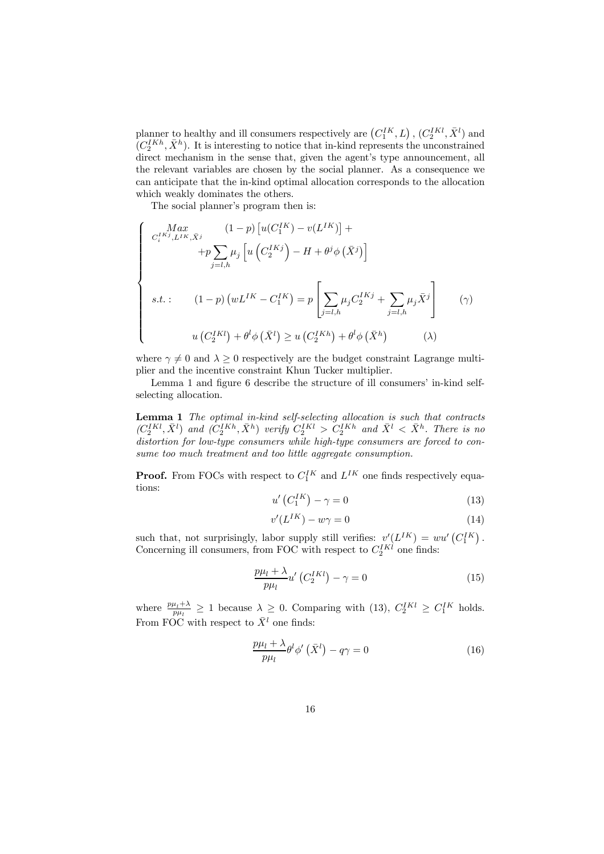planner to healthy and ill consumers respectively are  $(C_1^{IK}, L)$ ,  $(C_2^{IKl}, \bar{X}^l)$  and  $(C_2^{IKh}, \bar{X}^h)$ . It is interesting to notice that in-kind represents the unconstrained direct mechanism in the sense that, given the agent's type announcement, all the relevant variables are chosen by the social planner. As a consequence we can anticipate that the in-kind optimal allocation corresponds to the allocation which weakly dominates the others.

The social planner's program then is:

$$
\begin{cases}\n\lim_{C_i^{IK^j}, L^{IK}, \bar{X}^j} (1-p) \left[ u(C_1^{IK}) - v(L^{IK}) \right] + \\
\quad + p \sum_{j=l,h} \mu_j \left[ u\left(C_2^{IK^j}\right) - H + \theta^j \phi\left(\bar{X}^j\right) \right] \\
s.t. : \qquad (1-p) \left( wL^{IK} - C_1^{IK} \right) = p \left[ \sum_{j=l,h} \mu_j C_2^{IK^j} + \sum_{j=l,h} \mu_j \bar{X}^j \right] \\
u\left(C_2^{IK^j}\right) + \theta^l \phi\left(\bar{X}^l\right) \ge u\left(C_2^{IK^h}\right) + \theta^l \phi\left(\bar{X}^h\right)\n\end{cases} \tag{2}
$$

where  $\gamma \neq 0$  and  $\lambda \geq 0$  respectively are the budget constraint Lagrange multiplier and the incentive constraint Khun Tucker multiplier.

Lemma 1 and figure 6 describe the structure of ill consumers' in-kind selfselecting allocation.

Lemma 1 The optimal in-kind self-selecting allocation is such that contracts  $(C_2^{IKl}, \bar{X}^l)$  and  $(C_2^{IKh}, \bar{X}^h)$  verify  $C_2^{IKl} > C_2^{IKh}$  and  $\bar{X}^l < \bar{X}^h$ . There is no distortion for low-type consumers while high-type consumers are forced to consume too much treatment and too little aggregate consumption.

**Proof.** From FOCs with respect to  $C_1^{IK}$  and  $L^{IK}$  one finds respectively equations:

$$
u'\left(C_1^{IK}\right) - \gamma = 0\tag{13}
$$

$$
v'(L^{IK}) - w\gamma = 0\tag{14}
$$

such that, not surprisingly, labor supply still verifies:  $v'(L^{IK}) = w u'(C_1^{IK})$ . Concerning ill consumers, from FOC with respect to  $C_2^{IKl}$  one finds:

$$
\frac{p\mu_l + \lambda}{p\mu_l} u' \left( C_2^{IKl} \right) - \gamma = 0 \tag{15}
$$

where  $\frac{p\mu_l + \lambda}{p\mu_l} \geq 1$  because  $\lambda \geq 0$ . Comparing with (13),  $C_2^{IKl} \geq C_1^{IK}$  holds. From FOC with respect to  $\bar{X}^l$  one finds:

$$
\frac{p\mu_l + \lambda}{p\mu_l} \theta^l \phi' \left(\bar{X}^l\right) - q\gamma = 0 \tag{16}
$$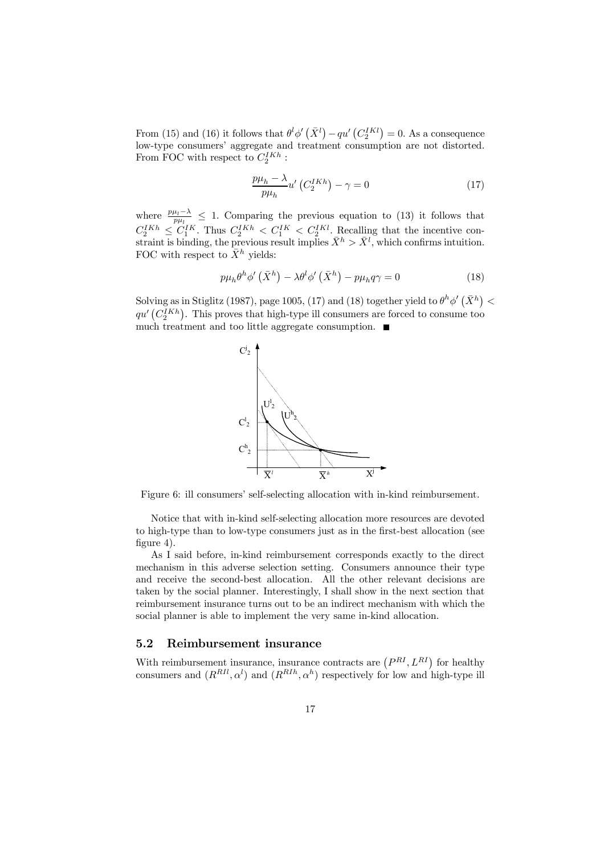From (15) and (16) it follows that  $\theta^l \phi'(\bar{X}^l) - qu' (C_2^{IKl}) = 0$ . As a consequence low-type consumers' aggregate and treatment consumption are not distorted. From FOC with respect to  $C_2^{IKh}$ :

$$
\frac{p\mu_h - \lambda}{p\mu_h} u' \left( C_2^{IKh} \right) - \gamma = 0 \tag{17}
$$

where  $\frac{p\mu_l-\lambda}{p\mu_l} \leq 1$ . Comparing the previous equation to (13) it follows that  $C_2^{IKh} \leq C_1^{IK}$ . Thus  $C_2^{IKh} < C_1^{IK} < C_2^{IKl}$ . Recalling that the incentive constraint is binding, the previous result implies  $\bar{X}^h > \bar{X}^l$ , which confirms intuition. FOC with respect to  $\bar{X}^h$  yields:

$$
p\mu_h \theta^h \phi' \left(\bar{X}^h\right) - \lambda \theta^l \phi' \left(\bar{X}^h\right) - p\mu_h q \gamma = 0 \tag{18}
$$

Solving as in Stiglitz (1987), page 1005, (17) and (18) together yield to  $\theta^h \phi'(\bar{X}^h)$  <  $qu^{i}\left(\mathcal{C}_{2}^{IKh}\right)$ . This proves that high-type ill consumers are forced to consume too much treatment and too little aggregate consumption.  $\blacksquare$ 



Figure 6: ill consumers' self-selecting allocation with in-kind reimbursement.

Notice that with in-kind self-selecting allocation more resources are devoted to high-type than to low-type consumers just as in the first-best allocation (see figure 4).

As I said before, in-kind reimbursement corresponds exactly to the direct mechanism in this adverse selection setting. Consumers announce their type and receive the second-best allocation. All the other relevant decisions are taken by the social planner. Interestingly, I shall show in the next section that reimbursement insurance turns out to be an indirect mechanism with which the social planner is able to implement the very same in-kind allocation.

#### 5.2 Reimbursement insurance

With reimbursement insurance, insurance contracts are  $(P^{RI}, L^{RI})$  for healthy consumers and  $(R^{RII}, \alpha^l)$  and  $(R^{RII}, \alpha^h)$  respectively for low and high-type ill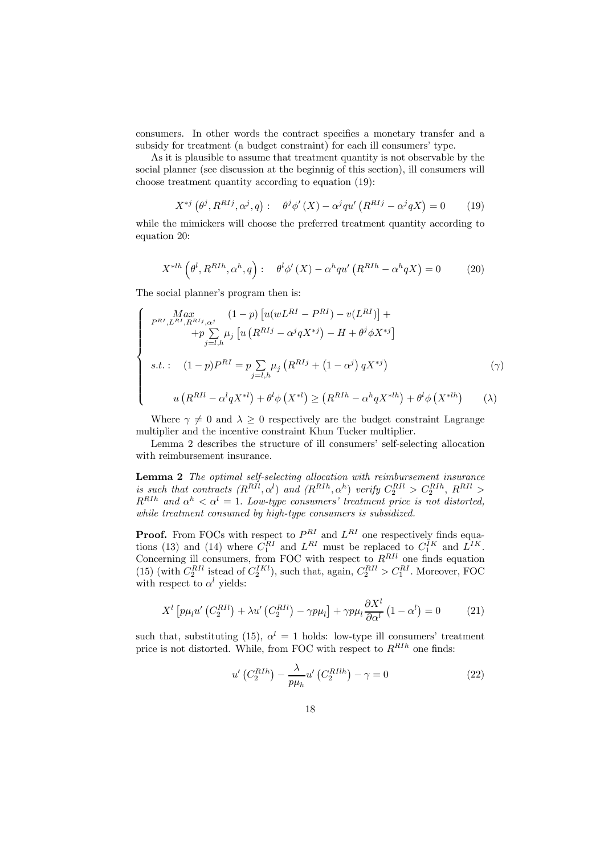consumers. In other words the contract specifies a monetary transfer and a subsidy for treatment (a budget constraint) for each ill consumers' type.

As it is plausible to assume that treatment quantity is not observable by the social planner (see discussion at the beginnig of this section), ill consumers will choose treatment quantity according to equation (19):

$$
X^{*j}(\theta^j, R^{R I j}, \alpha^j, q): \quad \theta^j \phi'(X) - \alpha^j q u'\left(R^{R I j} - \alpha^j q X\right) = 0 \tag{19}
$$

while the mimickers will choose the preferred treatment quantity according to equation 20:

$$
X^{*lh}\left(\theta^l, R^{R I h}, \alpha^h, q\right): \quad \theta^l \phi'(X) - \alpha^h q u'\left(R^{R I h} - \alpha^h q X\right) = 0 \tag{20}
$$

The social planner's program then is:

$$
\begin{cases}\n\max_{P^{RI}, L^{RI}, R^{RI}, \alpha^{j}} (1-p) \left[ u(wL^{RI} - P^{RI}) - v(L^{RI}) \right] + \\
\quad + p \sum_{j=l, h} \mu_{j} \left[ u \left( R^{RIj} - \alpha^{j} q X^{*j} \right) - H + \theta^{j} \phi X^{*j} \right] \\
s.t. : \quad (1-p)P^{RI} = p \sum_{j=l, h} \mu_{j} \left( R^{RIj} + (1-\alpha^{j}) q X^{*j} \right) \\
u \left( R^{RIl} - \alpha^{l} q X^{*l} \right) + \theta^{l} \phi \left( X^{*l} \right) \geq \left( R^{RIh} - \alpha^{h} q X^{*lh} \right) + \theta^{l} \phi \left( X^{*lh} \right)\n\end{cases} \tag{2}
$$

Where  $\gamma \neq 0$  and  $\lambda \geq 0$  respectively are the budget constraint Lagrange multiplier and the incentive constraint Khun Tucker multiplier.

Lemma 2 describes the structure of ill consumers' self-selecting allocation with reimbursement insurance.

**Lemma 2** The optimal self-selecting allocation with reimbursement insurance is such that contracts  $(R^{RII}, \alpha^l)$  and  $(R^{RII}, \alpha^h)$  verify  $C_2^{RII} > C_2^{RII}$ ,  $R^{RII} >$  $R^{R I h}$  and  $\alpha^h < \alpha^l = 1$ . Low-type consumers' treatment price is not distorted, while treatment consumed by high-type consumers is subsidized.

**Proof.** From FOCs with respect to  $P^{RI}$  and  $L^{RI}$  one respectively finds equations (13) and (14) where  $C_1^{RI}$  and  $L^{RI}$  must be replaced to  $C_1^{IK}$  and  $L^{IK}$ . Concerning ill consumers, from FOC with respect to  $R^{RII}$  one finds equation (15) (with  $C_2^{RII}$  istead of  $C_2^{IKl}$ ), such that, again,  $C_2^{RII} > C_1^{RI}$ . Moreover, FOC with respect to  $\alpha^l$  yields:

$$
X^{l}\left[p\mu_{l}u'\left(C_{2}^{RII}\right)+\lambda u'\left(C_{2}^{RII}\right)-\gamma p\mu_{l}\right]+\gamma p\mu_{l}\frac{\partial X^{l}}{\partial\alpha^{l}}\left(1-\alpha^{l}\right)=0\tag{21}
$$

such that, substituting (15),  $\alpha^{l} = 1$  holds: low-type ill consumers' treatment price is not distorted. While, from FOC with respect to  $R^{RII}$  one finds:

$$
u'\left(C_2^{RIIh}\right) - \frac{\lambda}{p\mu_h}u'\left(C_2^{RIIh}\right) - \gamma = 0\tag{22}
$$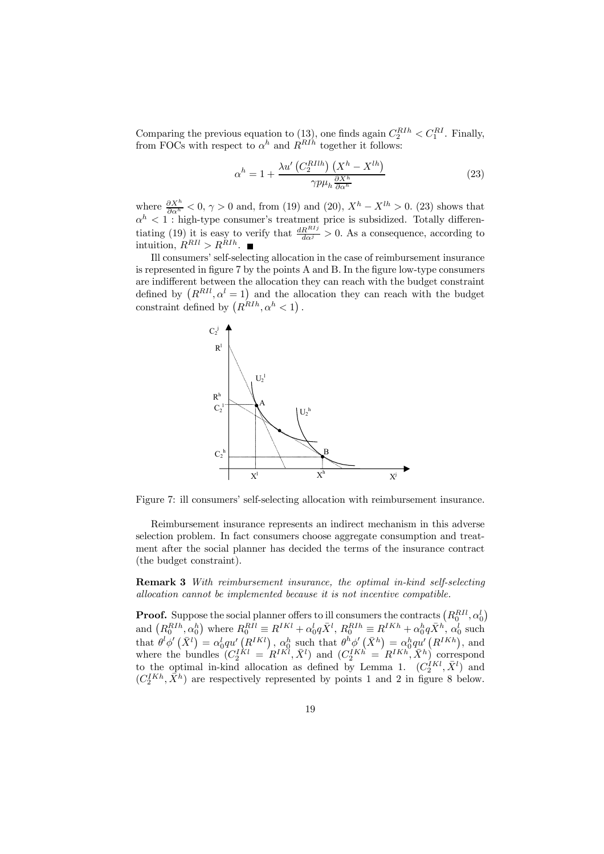Comparing the previous equation to (13), one finds again  $C_2^{RII} < C_1^{RI}$ . Finally, from FOCs with respect to  $\alpha^h$  and  $R^{R1h}$  together it follows:

$$
\alpha^{h} = 1 + \frac{\lambda u' \left( C_2^{RIIh} \right) \left( X^h - X^{lh} \right)}{\gamma p \mu_h \frac{\partial X^h}{\partial \alpha^h}}
$$
(23)

where  $\frac{\partial X^h}{\partial \alpha^h} < 0$ ,  $\gamma > 0$  and, from (19) and (20),  $X^h - X^{lh} > 0$ . (23) shows that  $\alpha^{h}$  < 1 : high-type consumer's treatment price is subsidized. Totally differentiating (19) it is easy to verify that  $\frac{dR^{RIj}}{d\alpha^{j}} > 0$ . As a consequence, according to intuition,  $R^{RII} > R^{RII}$ .

Ill consumers' self-selecting allocation in the case of reimbursement insurance is represented in figure 7 by the points A and B. In the figure low-type consumers are indifferent between the allocation they can reach with the budget constraint defined by  $(R^{RII}, \alpha^l = 1)$  and the allocation they can reach with the budget constraint defined by  $(R^{RIIh}, \alpha^h < 1)$ .



Figure 7: ill consumers' self-selecting allocation with reimbursement insurance.

Reimbursement insurance represents an indirect mechanism in this adverse selection problem. In fact consumers choose aggregate consumption and treatment after the social planner has decided the terms of the insurance contract (the budget constraint).

Remark 3 With reimbursement insurance, the optimal in-kind self-selecting allocation cannot be implemented because it is not incentive compatible.

**Proof.** Suppose the social planner offers to ill consumers the contracts  $\left(R^{RII}_0,\alpha^l_0\right)$ and  $(R_0^{RII}, \alpha_0^h)$  where  $R_0^{RII} \equiv R^{IKl} + \alpha_0^l q \bar{X}^l$ ,  $R_0^{RII} \equiv R^{IKh} + \alpha_0^h q \bar{X}^h$ ,  $\alpha_0^l$  such that  $\theta^l \phi'(\bar{X}^l) = \alpha_0^l q u' (R^{IKl})$ ,  $\alpha_0^h$  such that  $\theta^h \phi'(\bar{X}^h) = \alpha_0^h q u' (R^{IKh})$ , and where the bundles  $(C_2^{IKl} = R^{IKl}, \bar{X}^l)$  and  $(C_2^{IKh} = R^{IKh}, \bar{X}^h)$  correspond to the optimal in-kind allocation as defined by Lemma 1.  $(C_2^{IKl}, \bar{X}^l)$  and  $(C_2^{IKh}, \bar{X}^h)$  are respectively represented by points 1 and 2 in figure 8 below.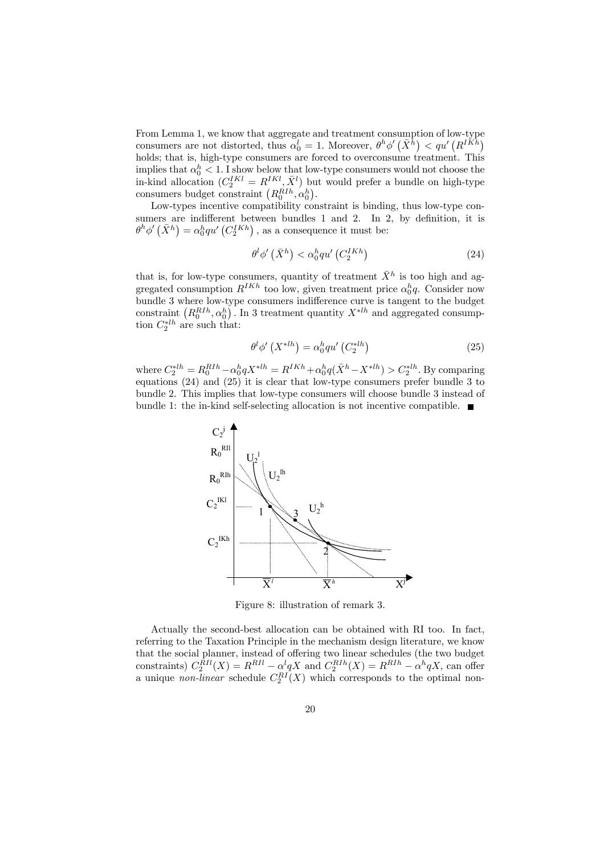From Lemma 1, we know that aggregate and treatment consumption of low-type consumers are not distorted, thus  $\alpha_0^l = 1$ . Moreover,  $\theta^h \phi'(\bar{X}^h) < q u' (R^{IKh})$ holds; that is, high-type consumers are forced to overconsume treatment. This implies that  $\alpha_0^h < 1$ . I show below that low-type consumers would not choose the in-kind allocation  $(C_2^{IKl} = R^{IKl}, \bar{X}^l)$  but would prefer a bundle on high-type consumers budget constraint  $(R_0^{RIIh}, \alpha_0^h)$ .

Low-types incentive compatibility constraint is binding, thus low-type consumers are indifferent between bundles 1 and 2. In 2, by definition, it is  $\theta^h \phi'(\bar{X}^h) = \alpha_0^h q u' (C_2^{IKh})$ , as a consequence it must be:

$$
\theta^l \phi' \left( \bar{X}^h \right) < \alpha_0^h q u' \left( C_2^{IKh} \right) \tag{24}
$$

that is, for low-type consumers, quantity of treatment  $\bar{X}^h$  is too high and aggregated consumption  $R^{IKh}$  too low, given treatment price  $\alpha_0^h q$ . Consider now bundle 3 where low-type consumers indifference curve is tangent to the budget constraint  $(R_0^{RII}, \alpha_0^h)$ . In 3 treatment quantity  $X^{*lh}$  and aggregated consumption  $C_2^{*lh}$  are such that:

$$
\theta^l \phi' \left( X^{*lh} \right) = \alpha_0^h q u' \left( C_2^{*lh} \right) \tag{25}
$$

where  $C_2^{*lh} = R_0^{RIIh} - \alpha_0^h q X^{*lh} = R^{IKh} + \alpha_0^h q (\bar{X}^h - X^{*lh}) > C_2^{*lh}$ . By comparing equations (24) and (25) it is clear that low-type consumers prefer bundle 3 to bundle 2. This implies that low-type consumers will choose bundle 3 instead of bundle 1: the in-kind self-selecting allocation is not incentive compatible.



Figure 8: illustration of remark 3.

Actually the second-best allocation can be obtained with RI too. In fact, referring to the Taxation Principle in the mechanism design literature, we know that the social planner, instead of offering two linear schedules (the two budget constraints)  $C_2^{RII}(X) = R^{RII} - \alpha^l q X$  and  $C_2^{RII}(X) = R^{RII} - \alpha^l q X$ , can offer a unique *non-linear* schedule  $C_2^{RI}(X)$  which corresponds to the optimal non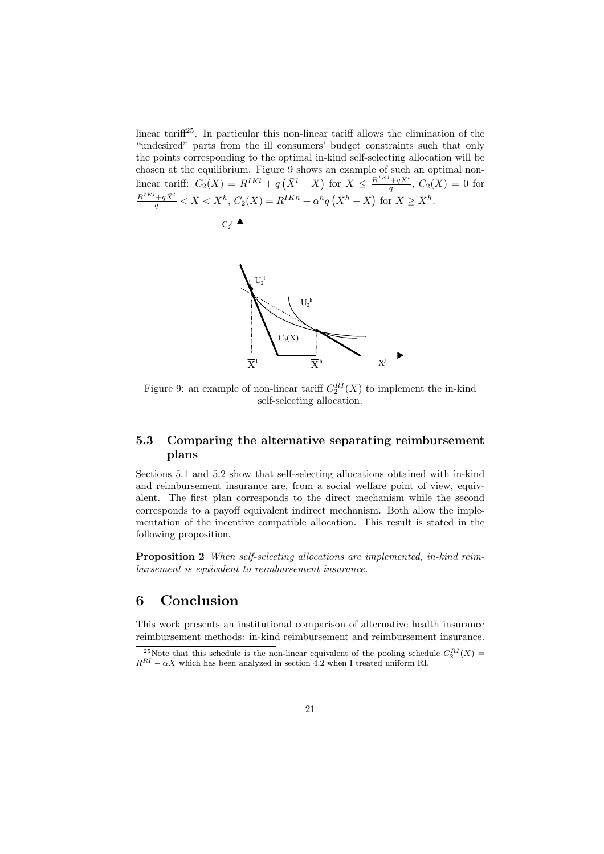linear tariff<sup>25</sup>. In particular this non-linear tariff allows the elimination of the "undesired" parts from the ill consumers' budget constraints such that only the points corresponding to the optimal in-kind self-selecting allocation will be chosen at the equilibrium. Figure 9 shows an example of such an optimal nonlinear tariff:  $C_2(X) = R^{IKl} + q(\bar{X}^l - X)$  for  $X \leq \frac{R^{IKl} + q\bar{X}^l}{q}$ ,  $C_2(X) = 0$  for  $\frac{R^{IKl}+q\bar{X}^l}{q} < X < \bar{X}^h$ ,  $C_2(X) = R^{IKh} + \alpha^h q (\bar{X}^h - X)$  for  $X \ge \bar{X}^h$ .



Figure 9: an example of non-linear tariff  $C_2^{RI}(X)$  to implement the in-kind self-selecting allocation.

### 5.3 Comparing the alternative separating reimbursement plans

Sections 5.1 and 5.2 show that self-selecting allocations obtained with in-kind and reimbursement insurance are, from a social welfare point of view, equivalent. The first plan corresponds to the direct mechanism while the second corresponds to a payoff equivalent indirect mechanism. Both allow the implementation of the incentive compatible allocation. This result is stated in the following proposition.

Proposition 2 When self-selecting allocations are implemented, in-kind reimbursement is equivalent to reimbursement insurance.

## 6 Conclusion

This work presents an institutional comparison of alternative health insurance reimbursement methods: in-kind reimbursement and reimbursement insurance.

<sup>&</sup>lt;sup>25</sup>Note that this schedule is the non-linear equivalent of the pooling schedule  $C_2^{RI}(X) =$  $R^{RI} - \alpha X$  which has been analyzed in section 4.2 when I treated uniform RI.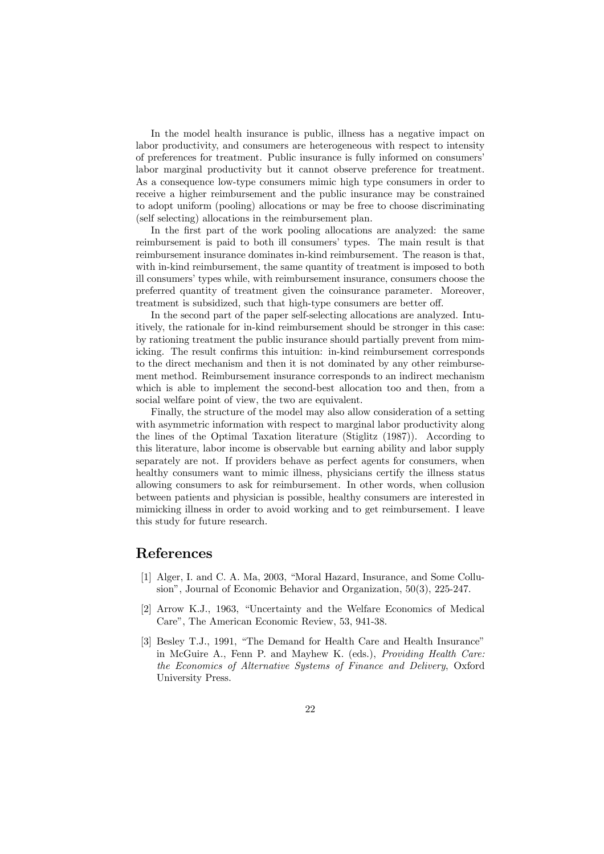In the model health insurance is public, illness has a negative impact on labor productivity, and consumers are heterogeneous with respect to intensity of preferences for treatment. Public insurance is fully informed on consumers' labor marginal productivity but it cannot observe preference for treatment. As a consequence low-type consumers mimic high type consumers in order to receive a higher reimbursement and the public insurance may be constrained to adopt uniform (pooling) allocations or may be free to choose discriminating (self selecting) allocations in the reimbursement plan.

In the first part of the work pooling allocations are analyzed: the same reimbursement is paid to both ill consumers' types. The main result is that reimbursement insurance dominates in-kind reimbursement. The reason is that, with in-kind reimbursement, the same quantity of treatment is imposed to both ill consumers' types while, with reimbursement insurance, consumers choose the preferred quantity of treatment given the coinsurance parameter. Moreover, treatment is subsidized, such that high-type consumers are better off.

In the second part of the paper self-selecting allocations are analyzed. Intuitively, the rationale for in-kind reimbursement should be stronger in this case: by rationing treatment the public insurance should partially prevent from mimicking. The result confirms this intuition: in-kind reimbursement corresponds to the direct mechanism and then it is not dominated by any other reimbursement method. Reimbursement insurance corresponds to an indirect mechanism which is able to implement the second-best allocation too and then, from a social welfare point of view, the two are equivalent.

Finally, the structure of the model may also allow consideration of a setting with asymmetric information with respect to marginal labor productivity along the lines of the Optimal Taxation literature (Stiglitz (1987)). According to this literature, labor income is observable but earning ability and labor supply separately are not. If providers behave as perfect agents for consumers, when healthy consumers want to mimic illness, physicians certify the illness status allowing consumers to ask for reimbursement. In other words, when collusion between patients and physician is possible, healthy consumers are interested in mimicking illness in order to avoid working and to get reimbursement. I leave this study for future research.

### References

- [1] Alger, I. and C. A. Ma, 2003, "Moral Hazard, Insurance, and Some Collusion", Journal of Economic Behavior and Organization, 50(3), 225-247.
- [2] Arrow K.J., 1963, "Uncertainty and the Welfare Economics of Medical Care", The American Economic Review, 53, 941-38.
- [3] Besley T.J., 1991, "The Demand for Health Care and Health Insurance" in McGuire A., Fenn P. and Mayhew K. (eds.), Providing Health Care: the Economics of Alternative Systems of Finance and Delivery, Oxford University Press.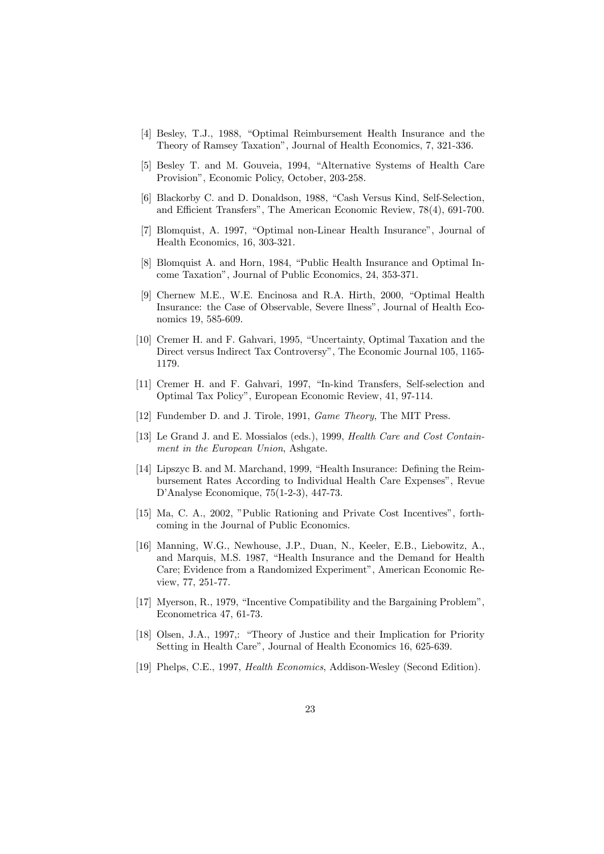- [4] Besley, T.J., 1988, "Optimal Reimbursement Health Insurance and the Theory of Ramsey Taxation", Journal of Health Economics, 7, 321-336.
- [5] Besley T. and M. Gouveia, 1994, "Alternative Systems of Health Care Provision", Economic Policy, October, 203-258.
- [6] Blackorby C. and D. Donaldson, 1988, "Cash Versus Kind, Self-Selection, and Efficient Transfers", The American Economic Review, 78(4), 691-700.
- [7] Blomquist, A. 1997, "Optimal non-Linear Health Insurance", Journal of Health Economics, 16, 303-321.
- [8] Blomquist A. and Horn, 1984, "Public Health Insurance and Optimal Income Taxation", Journal of Public Economics, 24, 353-371.
- [9] Chernew M.E., W.E. Encinosa and R.A. Hirth, 2000, "Optimal Health Insurance: the Case of Observable, Severe Ilness", Journal of Health Economics 19, 585-609.
- [10] Cremer H. and F. Gahvari, 1995, "Uncertainty, Optimal Taxation and the Direct versus Indirect Tax Controversy", The Economic Journal 105, 1165- 1179.
- [11] Cremer H. and F. Gahvari, 1997, "In-kind Transfers, Self-selection and Optimal Tax Policy", European Economic Review, 41, 97-114.
- [12] Fundember D. and J. Tirole, 1991, *Game Theory*, The MIT Press.
- [13] Le Grand J. and E. Mossialos (eds.), 1999, *Health Care and Cost Contain*ment in the European Union, Ashgate.
- [14] Lipszyc B. and M. Marchand, 1999, "Health Insurance: Defining the Reimbursement Rates According to Individual Health Care Expenses", Revue D'Analyse Economique, 75(1-2-3), 447-73.
- [15] Ma, C. A., 2002, "Public Rationing and Private Cost Incentives", forthcoming in the Journal of Public Economics.
- [16] Manning, W.G., Newhouse, J.P., Duan, N., Keeler, E.B., Liebowitz, A., and Marquis, M.S. 1987, "Health Insurance and the Demand for Health Care; Evidence from a Randomized Experiment", American Economic Review, 77, 251-77.
- [17] Myerson, R., 1979, "Incentive Compatibility and the Bargaining Problem", Econometrica 47, 61-73.
- [18] Olsen, J.A., 1997,: "Theory of Justice and their Implication for Priority Setting in Health Care", Journal of Health Economics 16, 625-639.
- [19] Phelps, C.E., 1997, Health Economics, Addison-Wesley (Second Edition).